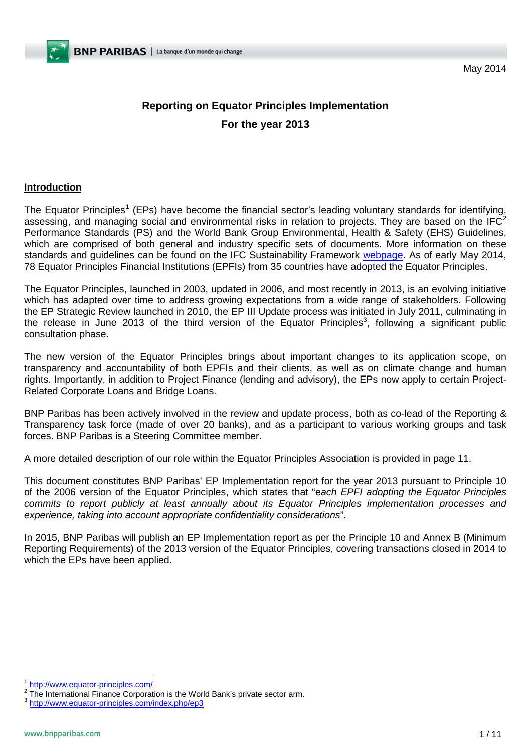May 2014

# **Reporting on Equator Principles Implementation For the year 2013**

### **Introduction**

The Equator Principles<sup>[1](#page-0-0)</sup> (EPs) have become the financial sector's leading voluntary standards for identifying, assessing, and managing social and environmental risks in relation to projects. They are based on the  $IFC<sup>2</sup>$  $IFC<sup>2</sup>$  $IFC<sup>2</sup>$ Performance Standards (PS) and the World Bank Group Environmental, Health & Safety (EHS) Guidelines, which are comprised of both general and industry specific sets of documents. More information on these standards and guidelines can be found on the IFC Sustainability Framework [webpage.](http://www.ifc.org/sustainabilityframework) As of early May 2014, 78 Equator Principles Financial Institutions (EPFIs) from 35 countries have adopted the Equator Principles.

The Equator Principles, launched in 2003, updated in 2006, and most recently in 2013, is an evolving initiative which has adapted over time to address growing expectations from a wide range of stakeholders. Following the EP Strategic Review launched in 2010, the EP III Update process was initiated in July 2011, culminating in the release in June 201[3](#page-0-2) of the third version of the Equator Principles<sup>3</sup>, following a significant public consultation phase.

The new version of the Equator Principles brings about important changes to its application scope, on transparency and accountability of both EPFIs and their clients, as well as on climate change and human rights. Importantly, in addition to Project Finance (lending and advisory), the EPs now apply to certain Project-Related Corporate Loans and Bridge Loans.

BNP Paribas has been actively involved in the review and update process, both as co-lead of the Reporting & Transparency task force (made of over 20 banks), and as a participant to various working groups and task forces. BNP Paribas is a Steering Committee member.

A more detailed description of our role within the Equator Principles Association is provided in page 11.

This document constitutes BNP Paribas' EP Implementation report for the year 2013 pursuant to Principle 10 of the 2006 version of the Equator Principles, which states that "e*ach EPFI adopting the Equator Principles commits to report publicly at least annually about its Equator Principles implementation processes and experience, taking into account appropriate confidentiality considerations*".

In 2015, BNP Paribas will publish an EP Implementation report as per the Principle 10 and Annex B (Minimum Reporting Requirements) of the 2013 version of the Equator Principles, covering transactions closed in 2014 to which the EPs have been applied.

<span id="page-0-3"></span><span id="page-0-1"></span><span id="page-0-0"></span> $\frac{1}{2}$  <http://www.equator-principles.com/><br>  $\frac{2}{3}$  The International Finance Corporation is the World Bank's private sector arm.<br>  $\frac{3}{3}$  <http://www.equator-principles.com/index.php/ep3>

<span id="page-0-2"></span>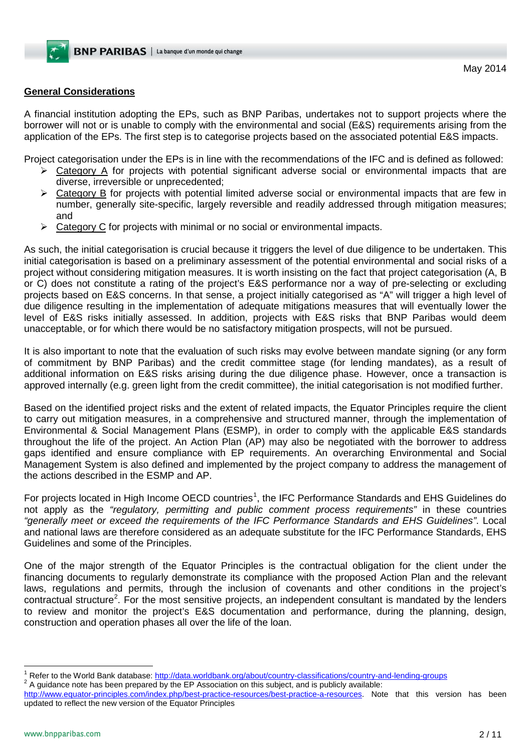## **General Considerations**

A financial institution adopting the EPs, such as BNP Paribas, undertakes not to support projects where the borrower will not or is unable to comply with the environmental and social (E&S) requirements arising from the application of the EPs. The first step is to categorise projects based on the associated potential E&S impacts.

Project categorisation under the EPs is in line with the recommendations of the IFC and is defined as followed:

- $\triangleright$  Category A for projects with potential significant adverse social or environmental impacts that are diverse, irreversible or unprecedented;
- $\triangleright$  Category B for projects with potential limited adverse social or environmental impacts that are few in number, generally site-specific, largely reversible and readily addressed through mitigation measures; and
- $\triangleright$  Category C for projects with minimal or no social or environmental impacts.

As such, the initial categorisation is crucial because it triggers the level of due diligence to be undertaken. This initial categorisation is based on a preliminary assessment of the potential environmental and social risks of a project without considering mitigation measures. It is worth insisting on the fact that project categorisation (A, B or C) does not constitute a rating of the project's E&S performance nor a way of pre-selecting or excluding projects based on E&S concerns. In that sense, a project initially categorised as "A" will trigger a high level of due diligence resulting in the implementation of adequate mitigations measures that will eventually lower the level of E&S risks initially assessed. In addition, projects with E&S risks that BNP Paribas would deem unacceptable, or for which there would be no satisfactory mitigation prospects, will not be pursued.

It is also important to note that the evaluation of such risks may evolve between mandate signing (or any form of commitment by BNP Paribas) and the credit committee stage (for lending mandates), as a result of additional information on E&S risks arising during the due diligence phase. However, once a transaction is approved internally (e.g. green light from the credit committee), the initial categorisation is not modified further.

Based on the identified project risks and the extent of related impacts, the Equator Principles require the client to carry out mitigation measures, in a comprehensive and structured manner, through the implementation of Environmental & Social Management Plans (ESMP), in order to comply with the applicable E&S standards throughout the life of the project. An Action Plan (AP) may also be negotiated with the borrower to address gaps identified and ensure compliance with EP requirements. An overarching Environmental and Social Management System is also defined and implemented by the project company to address the management of the actions described in the ESMP and AP.

For projects located in High Income OECD countries<sup>[1](#page-0-3)</sup>, the IFC Performance Standards and EHS Guidelines do not apply as the *"regulatory, permitting and public comment process requirements"* in these countries *"generally meet or exceed the requirements of the IFC Performance Standards and EHS Guidelines"*. Local and national laws are therefore considered as an adequate substitute for the IFC Performance Standards, EHS Guidelines and some of the Principles.

One of the major strength of the Equator Principles is the contractual obligation for the client under the financing documents to regularly demonstrate its compliance with the proposed Action Plan and the relevant laws, regulations and permits, through the inclusion of covenants and other conditions in the project's contractual structure<sup>[2](#page-1-0)</sup>. For the most sensitive projects, an independent consultant is mandated by the lenders to review and monitor the project's E&S documentation and performance, during the planning, design, construction and operation phases all over the life of the loan.

<span id="page-1-1"></span><sup>&</sup>lt;sup>1</sup> Refer to the World Bank database: <http://data.worldbank.org/about/country-classifications/country-and-lending-groups>  $^2$  A guidance note has been prepared by the EP Association on this subject, and is publicly availa

<span id="page-1-0"></span>[http://www.equator-principles.com/index.php/best-practice-resources/best-practice-a-resources.](http://www.equator-principles.com/index.php/best-practice-resources/best-practice-a-resources) Note that this version has been updated to reflect the new version of the Equator Principles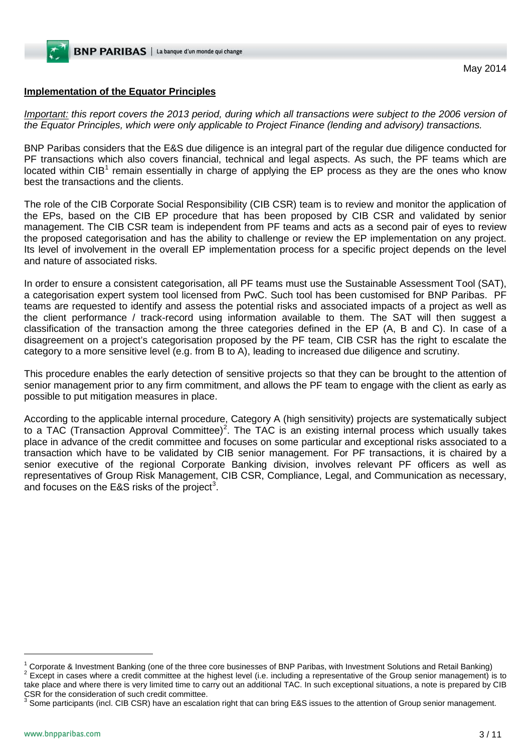# **Implementation of the Equator Principles**

*Important: this report covers the 2013 period, during which all transactions were subject to the 2006 version of the Equator Principles, which were only applicable to Project Finance (lending and advisory) transactions.*

BNP Paribas considers that the E&S due diligence is an integral part of the regular due diligence conducted for PF transactions which also covers financial, technical and legal aspects. As such, the PF teams which are located within CIB<sup>[1](#page-1-1)</sup> remain essentially in charge of applying the EP process as they are the ones who know best the transactions and the clients.

The role of the CIB Corporate Social Responsibility (CIB CSR) team is to review and monitor the application of the EPs, based on the CIB EP procedure that has been proposed by CIB CSR and validated by senior management. The CIB CSR team is independent from PF teams and acts as a second pair of eyes to review the proposed categorisation and has the ability to challenge or review the EP implementation on any project. Its level of involvement in the overall EP implementation process for a specific project depends on the level and nature of associated risks.

In order to ensure a consistent categorisation, all PF teams must use the Sustainable Assessment Tool (SAT), a categorisation expert system tool licensed from PwC. Such tool has been customised for BNP Paribas. PF teams are requested to identify and assess the potential risks and associated impacts of a project as well as the client performance / track-record using information available to them. The SAT will then suggest a classification of the transaction among the three categories defined in the EP (A, B and C). In case of a disagreement on a project's categorisation proposed by the PF team, CIB CSR has the right to escalate the category to a more sensitive level (e.g. from B to A), leading to increased due diligence and scrutiny.

This procedure enables the early detection of sensitive projects so that they can be brought to the attention of senior management prior to any firm commitment, and allows the PF team to engage with the client as early as possible to put mitigation measures in place.

According to the applicable internal procedure, Category A (high sensitivity) projects are systematically subject to a TAC (Transaction Approval Committee)<sup>[2](#page-2-0)</sup>. The TAC is an existing internal process which usually takes place in advance of the credit committee and focuses on some particular and exceptional risks associated to a transaction which have to be validated by CIB senior management. For PF transactions, it is chaired by a senior executive of the regional Corporate Banking division, involves relevant PF officers as well as representatives of Group Risk Management, CIB CSR, Compliance, Legal, and Communication as necessary, and focuses on the E&S risks of the project<sup>[3](#page-2-1)</sup>.

<span id="page-2-0"></span><sup>1</sup> Corporate & Investment Banking (one of the three core businesses of BNP Paribas, with Investment Solutions and Retail Banking)<br><sup>2</sup> Except in cases where a credit committee at the highest level (i.e. including a repres take place and where there is very limited time to carry out an additional TAC. In such exceptional situations, a note is prepared by CIB

-

<span id="page-2-1"></span> $3$  Some participants (incl. CIB CSR) have an escalation right that can bring E&S issues to the attention of Group senior management.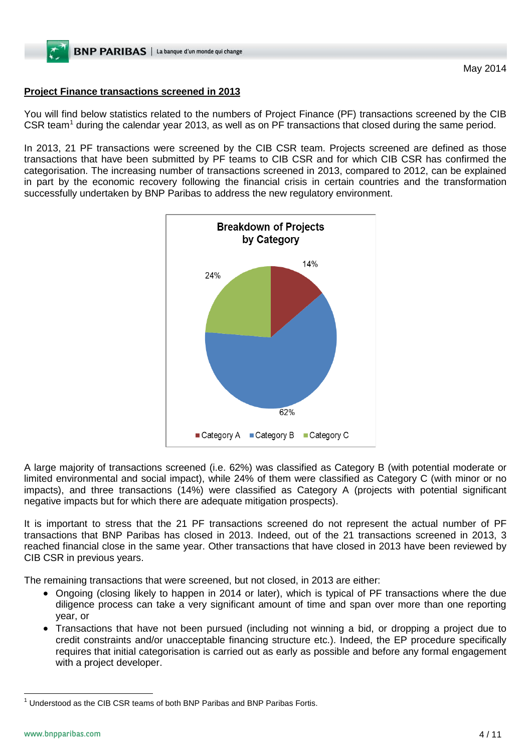# **Project Finance transactions screened in 2013**

You will find below statistics related to the numbers of Project Finance (PF) transactions screened by the CIB CSR team<sup>[1](#page-2-1)</sup> during the calendar year 2013, as well as on PF transactions that closed during the same period.

In 2013, 21 PF transactions were screened by the CIB CSR team. Projects screened are defined as those transactions that have been submitted by PF teams to CIB CSR and for which CIB CSR has confirmed the categorisation. The increasing number of transactions screened in 2013, compared to 2012, can be explained in part by the economic recovery following the financial crisis in certain countries and the transformation successfully undertaken by BNP Paribas to address the new regulatory environment.



A large majority of transactions screened (i.e. 62%) was classified as Category B (with potential moderate or limited environmental and social impact), while 24% of them were classified as Category C (with minor or no impacts), and three transactions (14%) were classified as Category A (projects with potential significant negative impacts but for which there are adequate mitigation prospects).

It is important to stress that the 21 PF transactions screened do not represent the actual number of PF transactions that BNP Paribas has closed in 2013. Indeed, out of the 21 transactions screened in 2013, 3 reached financial close in the same year. Other transactions that have closed in 2013 have been reviewed by CIB CSR in previous years.

The remaining transactions that were screened, but not closed, in 2013 are either:

- Ongoing (closing likely to happen in 2014 or later), which is typical of PF transactions where the due diligence process can take a very significant amount of time and span over more than one reporting year, or
- Transactions that have not been pursued (including not winning a bid, or dropping a project due to credit constraints and/or unacceptable financing structure etc.). Indeed, the EP procedure specifically requires that initial categorisation is carried out as early as possible and before any formal engagement with a project developer.

 $1$  Understood as the CIB CSR teams of both BNP Paribas and BNP Paribas Fortis.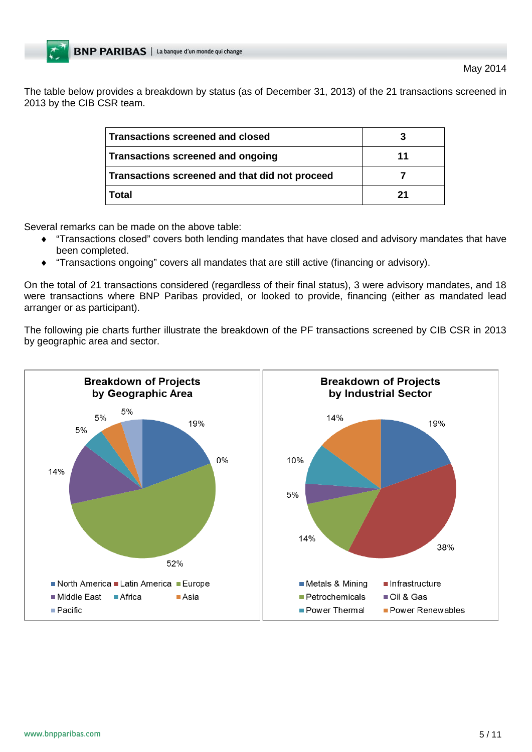The table below provides a breakdown by status (as of December 31, 2013) of the 21 transactions screened in 2013 by the CIB CSR team.

| Transactions screened and closed               |    |
|------------------------------------------------|----|
| Transactions screened and ongoing              | 11 |
| Transactions screened and that did not proceed |    |
| Total                                          | 21 |

Several remarks can be made on the above table:

- ♦ "Transactions closed" covers both lending mandates that have closed and advisory mandates that have been completed.
- "Transactions ongoing" covers all mandates that are still active (financing or advisory).

On the total of 21 transactions considered (regardless of their final status), 3 were advisory mandates, and 18 were transactions where BNP Paribas provided, or looked to provide, financing (either as mandated lead arranger or as participant).

The following pie charts further illustrate the breakdown of the PF transactions screened by CIB CSR in 2013 by geographic area and sector.

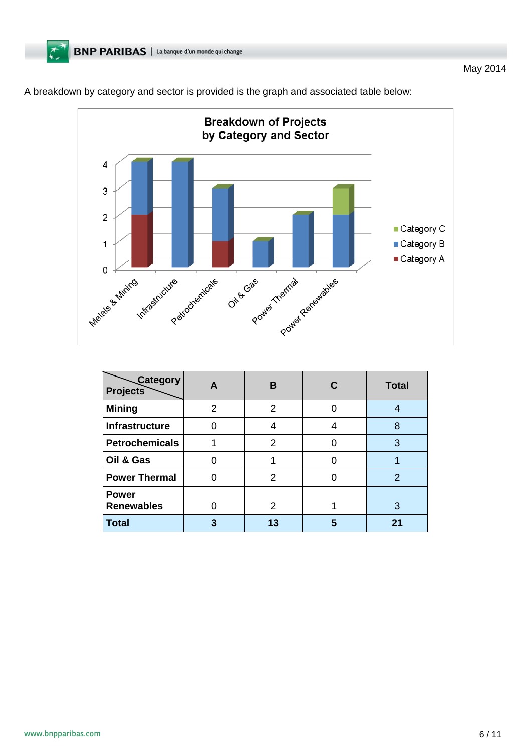



| <b>Category</b><br><b>Projects</b> | A | B  |   | <b>Total</b>  |
|------------------------------------|---|----|---|---------------|
| <b>Mining</b>                      | 2 | 2  |   |               |
| Infrastructure                     |   |    |   | 8             |
| <b>Petrochemicals</b>              |   | 2  |   | 3             |
| Oil & Gas                          |   |    |   |               |
| <b>Power Thermal</b>               |   | 2  |   | $\mathcal{P}$ |
| <b>Power</b><br><b>Renewables</b>  |   | 2  |   | З             |
| <b>Total</b>                       |   | 13 | 5 | 21            |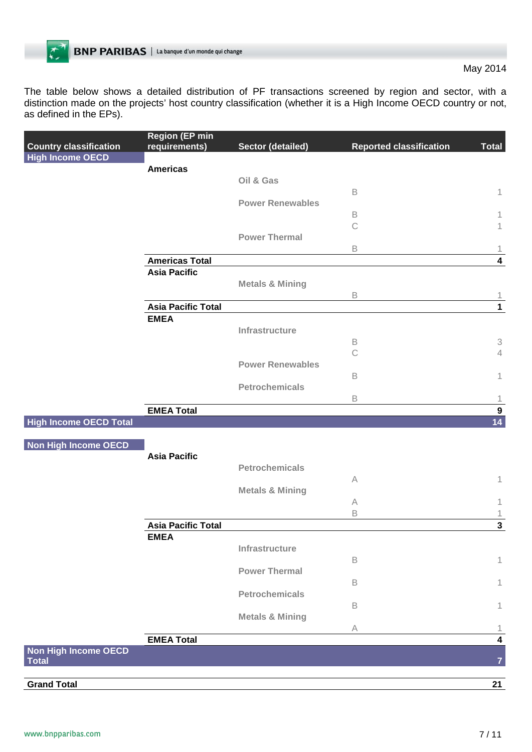The table below shows a detailed distribution of PF transactions screened by region and sector, with a distinction made on the projects' host country classification (whether it is a High Income OECD country or not, as defined in the EPs).

|                               | <b>Region (EP min</b>     |                            |                                |                                             |
|-------------------------------|---------------------------|----------------------------|--------------------------------|---------------------------------------------|
| <b>Country classification</b> | requirements)             | <b>Sector (detailed)</b>   | <b>Reported classification</b> | <b>Total</b>                                |
| <b>High Income OECD</b>       |                           |                            |                                |                                             |
|                               | <b>Americas</b>           |                            |                                |                                             |
|                               |                           | Oil & Gas                  |                                |                                             |
|                               |                           |                            | $\mathsf B$                    | 1                                           |
|                               |                           | <b>Power Renewables</b>    |                                |                                             |
|                               |                           |                            | $\,$ B                         | 1                                           |
|                               |                           |                            | $\mathcal{C}$                  | 1                                           |
|                               |                           | <b>Power Thermal</b>       |                                |                                             |
|                               |                           |                            | $\mathsf B$                    | 1                                           |
|                               | <b>Americas Total</b>     |                            |                                | $\overline{\mathbf{4}}$                     |
|                               | <b>Asia Pacific</b>       |                            |                                |                                             |
|                               |                           | <b>Metals &amp; Mining</b> |                                |                                             |
|                               |                           |                            | $\mathsf B$                    | 1                                           |
|                               | <b>Asia Pacific Total</b> |                            |                                | $\mathbf{1}$                                |
|                               | <b>EMEA</b>               |                            |                                |                                             |
|                               |                           | Infrastructure             |                                |                                             |
|                               |                           |                            | B<br>$\mathcal{C}$             | $\ensuremath{\mathsf{3}}$<br>$\overline{4}$ |
|                               |                           | <b>Power Renewables</b>    |                                |                                             |
|                               |                           |                            | $\mathsf B$                    |                                             |
|                               |                           | <b>Petrochemicals</b>      |                                | 1                                           |
|                               |                           |                            | $\,$ B                         | $\mathbf{1}$                                |
|                               | <b>EMEA Total</b>         |                            |                                | $\boldsymbol{9}$                            |
| <b>High Income OECD Total</b> |                           |                            |                                | 14                                          |
|                               |                           |                            |                                |                                             |
| Non High Income OECD          |                           |                            |                                |                                             |
|                               | <b>Asia Pacific</b>       |                            |                                |                                             |
|                               |                           | <b>Petrochemicals</b>      |                                |                                             |
|                               |                           |                            | A                              | 1                                           |
|                               |                           | <b>Metals &amp; Mining</b> |                                |                                             |
|                               |                           |                            | A                              | 1                                           |
|                               |                           |                            | $\mathsf B$                    | 1                                           |
|                               | <b>Asia Pacific Total</b> |                            |                                | $\mathbf{3}$                                |
|                               | <b>EMEA</b>               |                            |                                |                                             |
|                               |                           | Infrastructure             |                                |                                             |
|                               |                           |                            | $\,$ B                         | 1                                           |
|                               |                           | <b>Power Thermal</b>       |                                |                                             |
|                               |                           |                            | $\mathsf B$                    | 1                                           |
|                               |                           | <b>Petrochemicals</b>      |                                |                                             |
|                               |                           |                            | $\mathsf B$                    | 1                                           |
|                               |                           | <b>Metals &amp; Mining</b> |                                |                                             |
|                               |                           |                            | A                              | 1                                           |
|                               | <b>EMEA Total</b>         |                            |                                | $\overline{\mathbf{4}}$                     |
| Non High Income OECD          |                           |                            |                                |                                             |
| <b>Total</b>                  |                           |                            |                                | $\overline{7}$                              |
|                               |                           |                            |                                |                                             |
| <b>Grand Total</b>            |                           |                            |                                | 21                                          |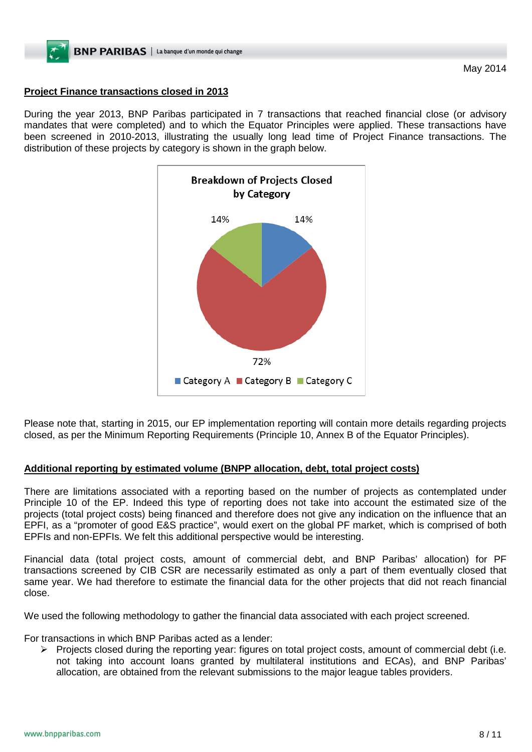# **Project Finance transactions closed in 2013**

During the year 2013, BNP Paribas participated in 7 transactions that reached financial close (or advisory mandates that were completed) and to which the Equator Principles were applied. These transactions have been screened in 2010-2013, illustrating the usually long lead time of Project Finance transactions. The distribution of these projects by category is shown in the graph below.



Please note that, starting in 2015, our EP implementation reporting will contain more details regarding projects closed, as per the Minimum Reporting Requirements (Principle 10, Annex B of the Equator Principles).

# **Additional reporting by estimated volume (BNPP allocation, debt, total project costs)**

There are limitations associated with a reporting based on the number of projects as contemplated under Principle 10 of the EP. Indeed this type of reporting does not take into account the estimated size of the projects (total project costs) being financed and therefore does not give any indication on the influence that an EPFI, as a "promoter of good E&S practice", would exert on the global PF market, which is comprised of both EPFIs and non-EPFIs. We felt this additional perspective would be interesting.

Financial data (total project costs, amount of commercial debt, and BNP Paribas' allocation) for PF transactions screened by CIB CSR are necessarily estimated as only a part of them eventually closed that same year. We had therefore to estimate the financial data for the other projects that did not reach financial close.

We used the following methodology to gather the financial data associated with each project screened.

For transactions in which BNP Paribas acted as a lender:

Projects closed during the reporting year: figures on total project costs, amount of commercial debt (i.e. not taking into account loans granted by multilateral institutions and ECAs), and BNP Paribas' allocation, are obtained from the relevant submissions to the major league tables providers.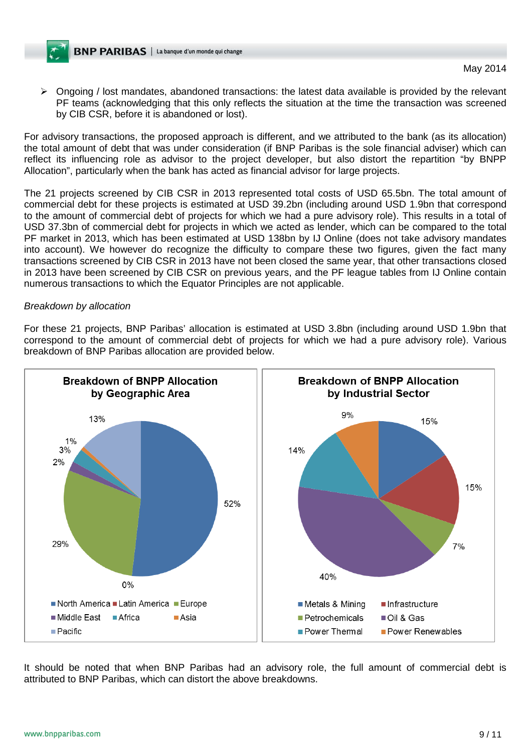$\triangleright$  Ongoing / lost mandates, abandoned transactions: the latest data available is provided by the relevant PF teams (acknowledging that this only reflects the situation at the time the transaction was screened by CIB CSR, before it is abandoned or lost).

For advisory transactions, the proposed approach is different, and we attributed to the bank (as its allocation) the total amount of debt that was under consideration (if BNP Paribas is the sole financial adviser) which can reflect its influencing role as advisor to the project developer, but also distort the repartition "by BNPP Allocation", particularly when the bank has acted as financial advisor for large projects.

The 21 projects screened by CIB CSR in 2013 represented total costs of USD 65.5bn. The total amount of commercial debt for these projects is estimated at USD 39.2bn (including around USD 1.9bn that correspond to the amount of commercial debt of projects for which we had a pure advisory role). This results in a total of USD 37.3bn of commercial debt for projects in which we acted as lender, which can be compared to the total PF market in 2013, which has been estimated at USD 138bn by IJ Online (does not take advisory mandates into account). We however do recognize the difficulty to compare these two figures, given the fact many transactions screened by CIB CSR in 2013 have not been closed the same year, that other transactions closed in 2013 have been screened by CIB CSR on previous years, and the PF league tables from IJ Online contain numerous transactions to which the Equator Principles are not applicable.

#### *Breakdown by allocation*

For these 21 projects, BNP Paribas' allocation is estimated at USD 3.8bn (including around USD 1.9bn that correspond to the amount of commercial debt of projects for which we had a pure advisory role). Various breakdown of BNP Paribas allocation are provided below.



It should be noted that when BNP Paribas had an advisory role, the full amount of commercial debt is attributed to BNP Paribas, which can distort the above breakdowns.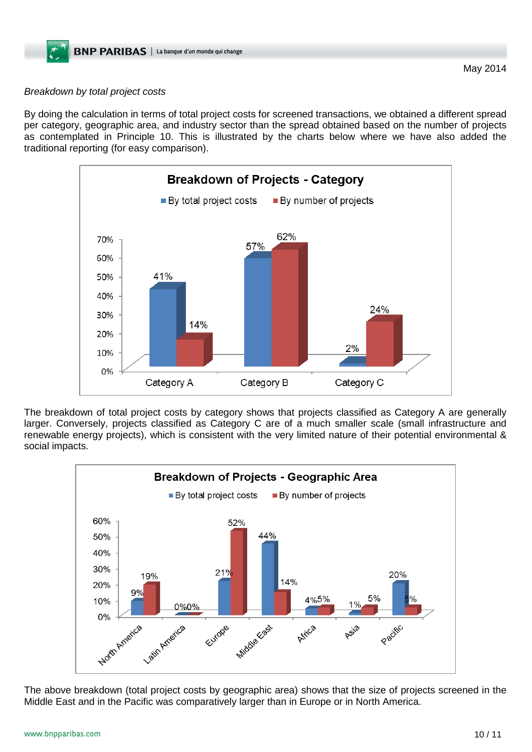## *Breakdown by total project costs*

By doing the calculation in terms of total project costs for screened transactions, we obtained a different spread per category, geographic area, and industry sector than the spread obtained based on the number of projects as contemplated in Principle 10. This is illustrated by the charts below where we have also added the traditional reporting (for easy comparison).



The breakdown of total project costs by category shows that projects classified as Category A are generally larger. Conversely, projects classified as Category C are of a much smaller scale (small infrastructure and renewable energy projects), which is consistent with the very limited nature of their potential environmental & social impacts.



The above breakdown (total project costs by geographic area) shows that the size of projects screened in the Middle East and in the Pacific was comparatively larger than in Europe or in North America.